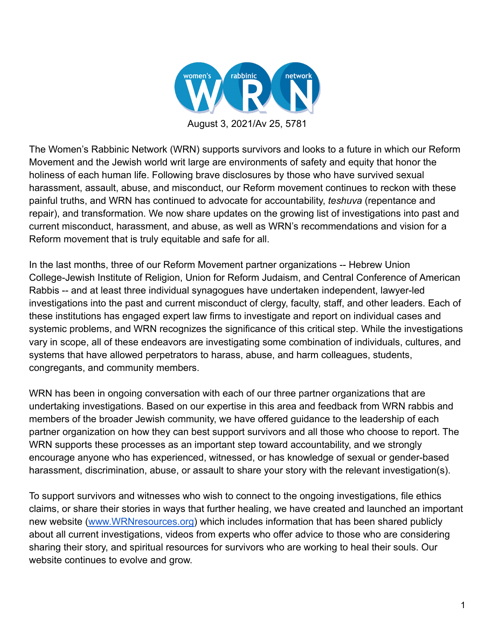

The Women's Rabbinic Network (WRN) supports survivors and looks to a future in which our Reform Movement and the Jewish world writ large are environments of safety and equity that honor the holiness of each human life. Following brave disclosures by those who have survived sexual harassment, assault, abuse, and misconduct, our Reform movement continues to reckon with these painful truths, and WRN has continued to advocate for accountability, *teshuva* (repentance and repair), and transformation. We now share updates on the growing list of investigations into past and current misconduct, harassment, and abuse, as well as WRN's recommendations and vision for a Reform movement that is truly equitable and safe for all.

In the last months, three of our Reform Movement partner organizations -- Hebrew Union College-Jewish Institute of Religion, Union for Reform Judaism, and Central Conference of American Rabbis -- and at least three individual synagogues have undertaken independent, lawyer-led investigations into the past and current misconduct of clergy, faculty, staff, and other leaders. Each of these institutions has engaged expert law firms to investigate and report on individual cases and systemic problems, and WRN recognizes the significance of this critical step. While the investigations vary in scope, all of these endeavors are investigating some combination of individuals, cultures, and systems that have allowed perpetrators to harass, abuse, and harm colleagues, students, congregants, and community members.

WRN has been in ongoing conversation with each of our three partner organizations that are undertaking investigations. Based on our expertise in this area and feedback from WRN rabbis and members of the broader Jewish community, we have offered guidance to the leadership of each partner organization on how they can best support survivors and all those who choose to report. The WRN supports these processes as an important step toward accountability, and we strongly encourage anyone who has experienced, witnessed, or has knowledge of sexual or gender-based harassment, discrimination, abuse, or assault to share your story with the relevant investigation(s).

To support survivors and witnesses who wish to connect to the ongoing investigations, file ethics claims, or share their stories in ways that further healing, we have created and launched an important new website [\(www.WRNresources.org](http://www.wrnresources.org)) which includes information that has been shared publicly about all current investigations, videos from experts who offer advice to those who are considering sharing their story, and spiritual resources for survivors who are working to heal their souls. Our website continues to evolve and grow.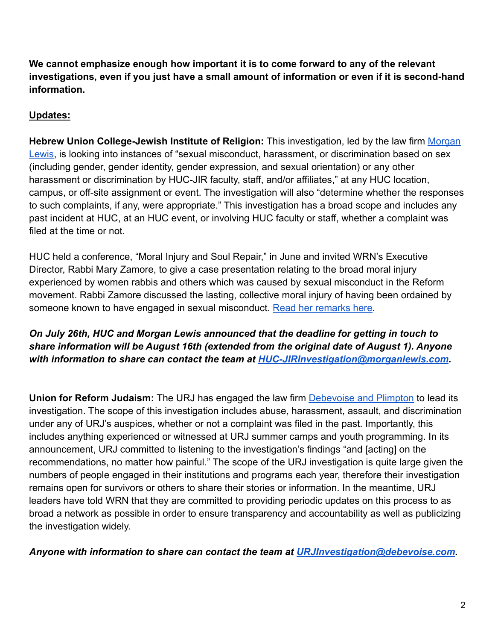**We cannot emphasize enough how important it is to come forward to any of the relevant investigations, even if you just have a small amount of information or even if it is second-hand information.**

## **Updates:**

**Hebrew Union College-Jewish Institute of Religion:** This investigation, led by the law firm [Morgan](https://www.morganlewis.com/) [Lewis,](https://www.morganlewis.com/) is looking into instances of "sexual misconduct, harassment, or discrimination based on sex (including gender, gender identity, gender expression, and sexual orientation) or any other harassment or discrimination by HUC-JIR faculty, staff, and/or affiliates," at any HUC location, campus, or off-site assignment or event. The investigation will also "determine whether the responses to such complaints, if any, were appropriate." This investigation has a broad scope and includes any past incident at HUC, at an HUC event, or involving HUC faculty or staff, whether a complaint was filed at the time or not.

HUC held a conference, "Moral Injury and Soul Repair," in June and invited WRN's Executive Director, Rabbi Mary Zamore, to give a case presentation relating to the broad moral injury experienced by women rabbis and others which was caused by sexual misconduct in the Reform movement. Rabbi Zamore discussed the lasting, collective moral injury of having been ordained by someone known to have engaged in sexual misconduct. [Read her remarks here.](https://64ffd000-82a3-40ac-b305-b519934e0f3d.filesusr.com/ugd/2a9291_bcd428c7453e42eab989f35ded06dfcc.pdf)

## *On July 26th, HUC and Morgan Lewis announced that the deadline for getting in touch to share information will be August 16th (extended from the original date of August 1). Anyone with information to share can contact the team at [HUC-JIRInvestigation@morganlewis.com](mailto:HUC-JIRInvestigation@morganlewis.com).*

**Union for Reform Judaism:** The URJ has engaged the law firm [Debevoise and Plimpton](https://www.debevoise.com/) to lead its investigation. The scope of this investigation includes abuse, harassment, assault, and discrimination under any of URJ's auspices, whether or not a complaint was filed in the past. Importantly, this includes anything experienced or witnessed at URJ summer camps and youth programming. In its announcement, URJ committed to listening to the investigation's findings "and [acting] on the recommendations, no matter how painful." The scope of the URJ investigation is quite large given the numbers of people engaged in their institutions and programs each year, therefore their investigation remains open for survivors or others to share their stories or information. In the meantime, URJ leaders have told WRN that they are committed to providing periodic updates on this process to as broad a network as possible in order to ensure transparency and accountability as well as publicizing the investigation widely.

*Anyone with information to share can contact the team at [URJInvestigation@debevoise.com](mailto:URJInvestigation@debevoise.com).*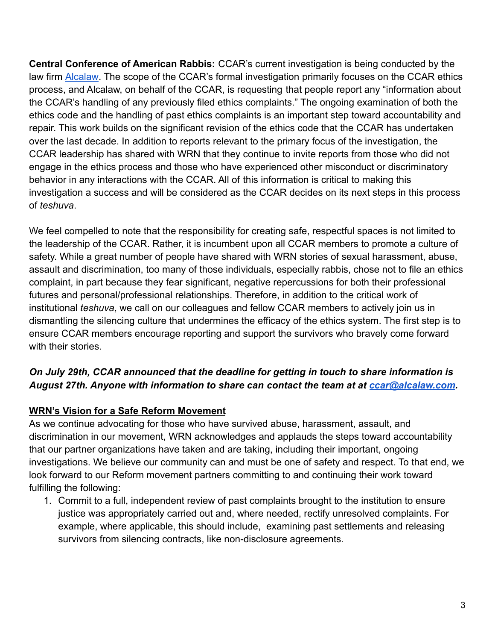**Central Conference of American Rabbis:** CCAR's current investigation is being conducted by the law firm [Alcalaw](https://alcalaw.com/). The scope of the CCAR's formal investigation primarily focuses on the CCAR ethics process, and Alcalaw, on behalf of the CCAR, is requesting that people report any "information about the CCAR's handling of any previously filed ethics complaints." The ongoing examination of both the ethics code and the handling of past ethics complaints is an important step toward accountability and repair. This work builds on the significant revision of the ethics code that the CCAR has undertaken over the last decade. In addition to reports relevant to the primary focus of the investigation, the CCAR leadership has shared with WRN that they continue to invite reports from those who did not engage in the ethics process and those who have experienced other misconduct or discriminatory behavior in any interactions with the CCAR. All of this information is critical to making this investigation a success and will be considered as the CCAR decides on its next steps in this process of *teshuva*.

We feel compelled to note that the responsibility for creating safe, respectful spaces is not limited to the leadership of the CCAR. Rather, it is incumbent upon all CCAR members to promote a culture of safety. While a great number of people have shared with WRN stories of sexual harassment, abuse, assault and discrimination, too many of those individuals, especially rabbis, chose not to file an ethics complaint, in part because they fear significant, negative repercussions for both their professional futures and personal/professional relationships. Therefore, in addition to the critical work of institutional *teshuva*, we call on our colleagues and fellow CCAR members to actively join us in dismantling the silencing culture that undermines the efficacy of the ethics system. The first step is to ensure CCAR members encourage reporting and support the survivors who bravely come forward with their stories.

## *On July 29th, CCAR announced that the deadline for getting in touch to share information is August 27th. Anyone with information to share can contact the team at at [ccar@alcalaw.com](mailto:ccar@alcalaw.com).*

## **WRN's Vision for a Safe Reform Movement**

As we continue advocating for those who have survived abuse, harassment, assault, and discrimination in our movement, WRN acknowledges and applauds the steps toward accountability that our partner organizations have taken and are taking, including their important, ongoing investigations. We believe our community can and must be one of safety and respect. To that end, we look forward to our Reform movement partners committing to and continuing their work toward fulfilling the following:

1. Commit to a full, independent review of past complaints brought to the institution to ensure justice was appropriately carried out and, where needed, rectify unresolved complaints. For example, where applicable, this should include, examining past settlements and releasing survivors from silencing contracts, like non-disclosure agreements.